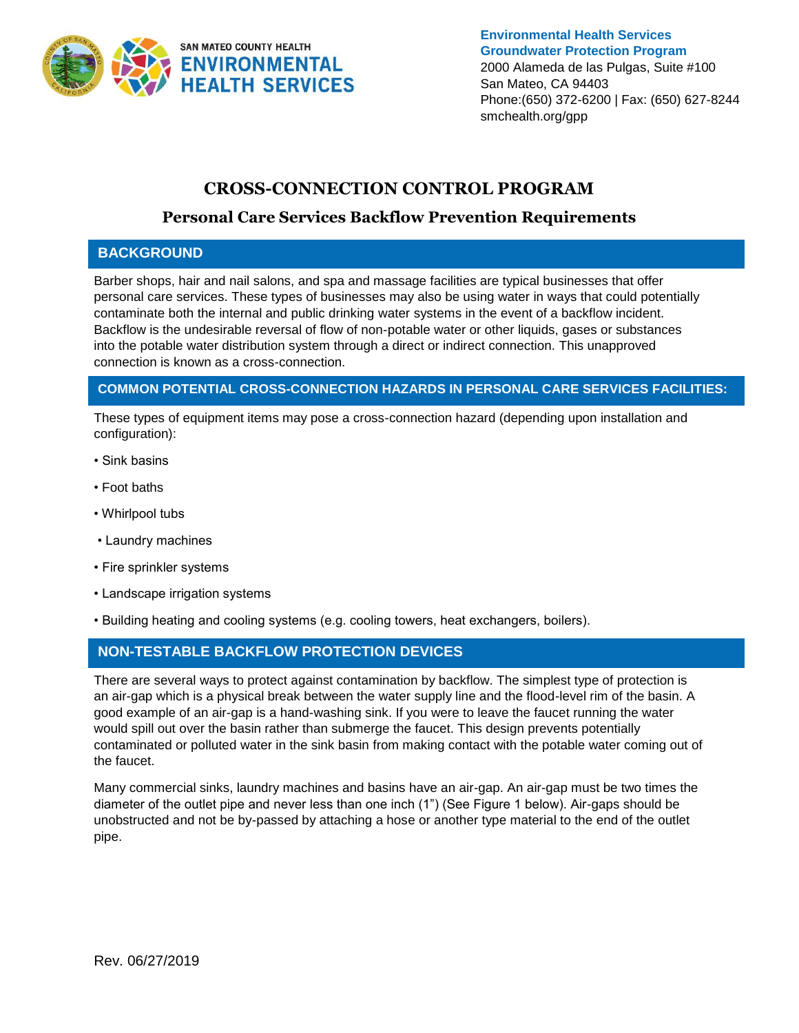

**Environmental Health Services Groundwater Protection Program** 2000 Alameda de las Pulgas, Suite #100 San Mateo, CA 94403 Phone:(650) 372-6200 | Fax: (650) 627-8244 smchealth.org/gpp

# **CROSS-CONNECTION CONTROL PROGRAM**

### **Personal Care Services Backflow Prevention Requirements**

#### **BACKGROUND**

Barber shops, hair and nail salons, and spa and massage facilities are typical businesses that offer personal care services. These types of businesses may also be using water in ways that could potentially contaminate both the internal and public drinking water systems in the event of a backflow incident. Backflow is the undesirable reversal of flow of non-potable water or other liquids, gases or substances into the potable water distribution system through a direct or indirect connection. This unapproved connection is known as a cross-connection.

#### **COMMON POTENTIAL CROSS-CONNECTION HAZARDS IN PERSONAL CARE SERVICES FACILITIES:**

These types of equipment items may pose a cross-connection hazard (depending upon installation and configuration):

- Sink basins
- Foot baths
- Whirlpool tubs
- Laundry machines
- Fire sprinkler systems
- Landscape irrigation systems
- Building heating and cooling systems (e.g. cooling towers, heat exchangers, boilers).

### **NON-TESTABLE BACKFLOW PROTECTION DEVICES**

There are several ways to protect against contamination by backflow. The simplest type of protection is an air-gap which is a physical break between the water supply line and the flood-level rim of the basin. A good example of an air-gap is a hand-washing sink. If you were to leave the faucet running the water would spill out over the basin rather than submerge the faucet. This design prevents potentially contaminated or polluted water in the sink basin from making contact with the potable water coming out of the faucet.

Many commercial sinks, laundry machines and basins have an air-gap. An air-gap must be two times the diameter of the outlet pipe and never less than one inch (1") (See Figure 1 below). Air-gaps should be unobstructed and not be by-passed by attaching a hose or another type material to the end of the outlet pipe.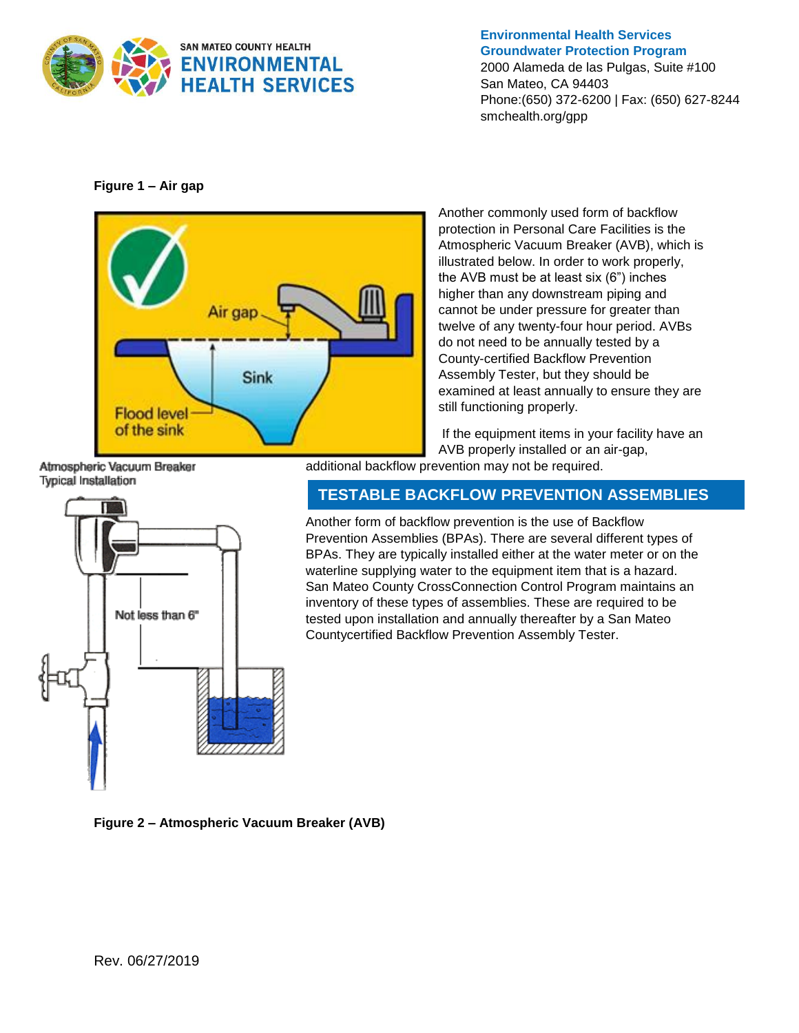

**Environmental Health Services Groundwater Protection Program**

2000 Alameda de las Pulgas, Suite #100 San Mateo, CA 94403 Phone:(650) 372-6200 | Fax: (650) 627-8244 smchealth.org/gpp

**Figure 1 – Air gap** 



Another commonly used form of backflow protection in Personal Care Facilities is the Atmospheric Vacuum Breaker (AVB), which is illustrated below. In order to work properly, the AVB must be at least six (6") inches higher than any downstream piping and cannot be under pressure for greater than twelve of any twenty-four hour period. AVBs do not need to be annually tested by a County-certified Backflow Prevention Assembly Tester, but they should be examined at least annually to ensure they are still functioning properly.

If the equipment items in your facility have an AVB properly installed or an air-gap, additional backflow prevention may not be required.

Atmospheric Vacuum Breaker Typical Installation



**TESTABLE BACKFLOW PREVENTION ASSEMBLIES**

Another form of backflow prevention is the use of Backflow Prevention Assemblies (BPAs). There are several different types of BPAs. They are typically installed either at the water meter or on the waterline supplying water to the equipment item that is a hazard. San Mateo County CrossConnection Control Program maintains an inventory of these types of assemblies. These are required to be tested upon installation and annually thereafter by a San Mateo Countycertified Backflow Prevention Assembly Tester.

**Figure 2 – Atmospheric Vacuum Breaker (AVB)**